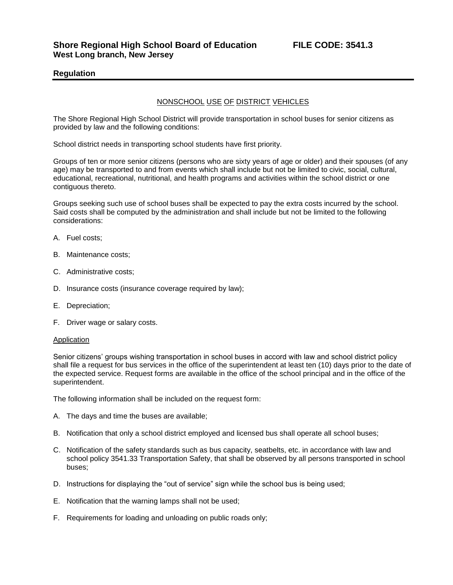## **Regulation**

## NONSCHOOL USE OF DISTRICT VEHICLES

The Shore Regional High School District will provide transportation in school buses for senior citizens as provided by law and the following conditions:

School district needs in transporting school students have first priority.

Groups of ten or more senior citizens (persons who are sixty years of age or older) and their spouses (of any age) may be transported to and from events which shall include but not be limited to civic, social, cultural, educational, recreational, nutritional, and health programs and activities within the school district or one contiguous thereto.

Groups seeking such use of school buses shall be expected to pay the extra costs incurred by the school. Said costs shall be computed by the administration and shall include but not be limited to the following considerations:

- A. Fuel costs;
- B. Maintenance costs;
- C. Administrative costs;
- D. Insurance costs (insurance coverage required by law);
- E. Depreciation;
- F. Driver wage or salary costs.

## Application

Senior citizens' groups wishing transportation in school buses in accord with law and school district policy shall file a request for bus services in the office of the superintendent at least ten (10) days prior to the date of the expected service. Request forms are available in the office of the school principal and in the office of the superintendent.

The following information shall be included on the request form:

- A. The days and time the buses are available;
- B. Notification that only a school district employed and licensed bus shall operate all school buses;
- C. Notification of the safety standards such as bus capacity, seatbelts, etc. in accordance with law and school policy 3541.33 Transportation Safety, that shall be observed by all persons transported in school buses;
- D. Instructions for displaying the "out of service" sign while the school bus is being used;
- E. Notification that the warning lamps shall not be used;
- F. Requirements for loading and unloading on public roads only;